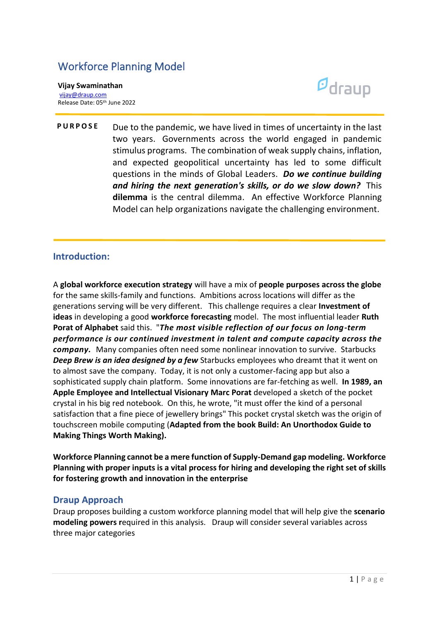# Workforce Planning Model

**Vijay Swaminathan** [vijay@draup.com](about:blank) Release Date: 05th June 2022



**P U R P O S E** Due to the pandemic, we have lived in times of uncertainty in the last two years. Governments across the world engaged in pandemic stimulus programs. The combination of weak supply chains, inflation, and expected geopolitical uncertainty has led to some difficult questions in the minds of Global Leaders. *Do we continue building and hiring the next generation's skills, or do we slow down?* This **dilemma** is the central dilemma. An effective Workforce Planning Model can help organizations navigate the challenging environment.

### **Introduction:**

A **global workforce execution strategy** will have a mix of **people purposes across the globe** for the same skills-family and functions. Ambitions across locations will differ as the generations serving will be very different. This challenge requires a clear **Investment of ideas** in developing a good **workforce forecasting** model. The most influential leader **Ruth Porat of Alphabet** said this. "*The most visible reflection of our focus on long-term performance is our continued investment in talent and compute capacity across the company.* Many companies often need some nonlinear innovation to survive. Starbucks *Deep Brew is an idea designed by a few* Starbucks employees who dreamt that it went on to almost save the company. Today, it is not only a customer-facing app but also a sophisticated supply chain platform. Some innovations are far-fetching as well. **In 1989, an Apple Employee and Intellectual Visionary Marc Porat** developed a sketch of the pocket crystal in his big red notebook. On this, he wrote, "it must offer the kind of a personal satisfaction that a fine piece of jewellery brings" This pocket crystal sketch was the origin of touchscreen mobile computing (**Adapted from the book Build: An Unorthodox Guide to Making Things Worth Making).**

**Workforce Planning cannot be a mere function of Supply-Demand gap modeling. Workforce Planning with proper inputs is a vital process for hiring and developing the right set of skills for fostering growth and innovation in the enterprise**

#### **Draup Approach**

Draup proposes building a custom workforce planning model that will help give the **scenario modeling powers r**equired in this analysis. Draup will consider several variables across three major categories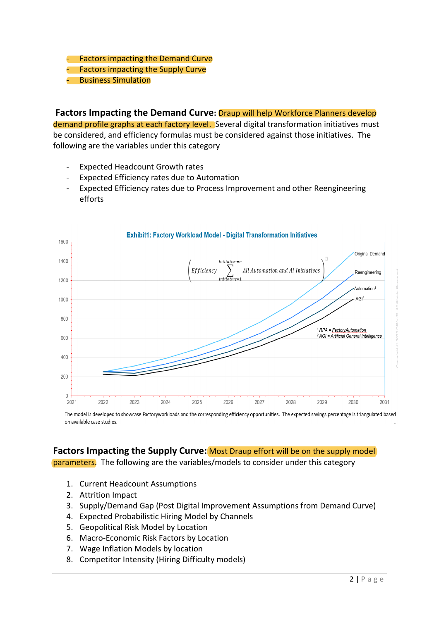- Factors impacting the Demand Curve
- Factors impacting the Supply Curve
- Business Simulation

**Factors Impacting the Demand Curve:** Draup will help Workforce Planners develop demand profile graphs at each factory level. Several digital transformation initiatives must be considered, and efficiency formulas must be considered against those initiatives. The following are the variables under this category

- Expected Headcount Growth rates
- Expected Efficiency rates due to Automation
- Expected Efficiency rates due to Process Improvement and other Reengineering efforts



**Exhibit1: Factory Workload Model - Digital Transformation Initiatives** 

The model is developed to showcase Factoryworkloads and the corresponding efficiency opportunities. The expected savings percentage is triangulated based on available case studies.

**Factors Impacting the Supply Curve:** Most Draup effort will be on the supply model parameters. The following are the variables/models to consider under this category

- 1. Current Headcount Assumptions
- 2. Attrition Impact
- 3. Supply/Demand Gap (Post Digital Improvement Assumptions from Demand Curve)
- 4. Expected Probabilistic Hiring Model by Channels
- 5. Geopolitical Risk Model by Location
- 6. Macro-Economic Risk Factors by Location
- 7. Wage Inflation Models by location
- 8. Competitor Intensity (Hiring Difficulty models)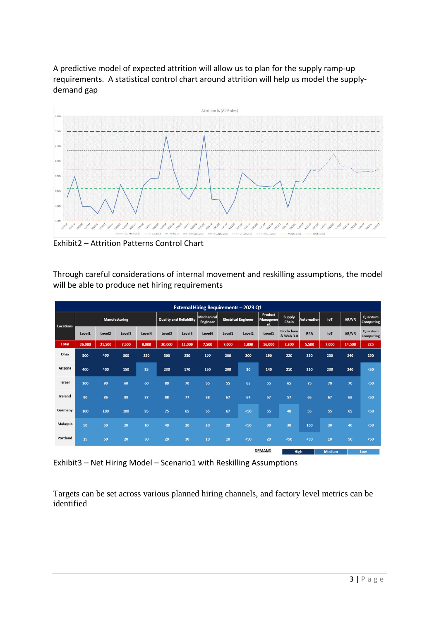A predictive model of expected attrition will allow us to plan for the supply ramp-up requirements. A statistical control chart around attrition will help us model the supplydemand gap



Exhibit2 – Attrition Patterns Control Chart

Through careful considerations of internal movement and reskilling assumptions, the model will be able to produce net hiring requirements

| External Hiring Requirements - 2023 Q1 |                      |                    |        |        |                                |        |                                            |                            |                    |                           |                                |                   |       |        |                             |
|----------------------------------------|----------------------|--------------------|--------|--------|--------------------------------|--------|--------------------------------------------|----------------------------|--------------------|---------------------------|--------------------------------|-------------------|-------|--------|-----------------------------|
| <b>Locations</b>                       | <b>Manufacturing</b> |                    |        |        | <b>Quality and Reliability</b> |        | $ \mathsf{Mechanical} $<br><b>Engineer</b> | <b>Electrical Engineer</b> |                    | Product<br>Manageme<br>nt | <b>Supply</b><br>Chain         | <b>Automation</b> | loT   | AR/VR  | Quantum<br><b>Computing</b> |
|                                        | Level1               | Level <sub>2</sub> | Level3 | Level4 | Level <sub>2</sub>             | Level3 | Level4                                     | Level1                     | Level <sub>2</sub> | Level1                    | <b>Blockchain</b><br>& Web 3.0 | <b>RPA</b>        | loT   | AR/VR  | Quantum<br><b>Computing</b> |
| <b>Total</b>                           | 26,000               | 21,500             | 7,500  | 8,000  | 20,000                         | 11,000 | 7,500                                      | 7,000                      | 1,800              | 16,000                    | 2,300                          | 5,500             | 7,000 | 14,500 | 225                         |
| Ohio                                   | 500                  | 400                | 300    | 250    | 300                            | 250    | 150                                        | 200                        | 200                | 190                       | 220                            | 220               | 230   | 240    | 250                         |
| Arizona                                | 400                  | 400                | 150    | 25     | 230                            | 170    | 150                                        | 200                        | 30                 | 140                       | 210                            | 210               | 230   | 240    | $50$                        |
| <b>Israel</b>                          | 100                  | 90                 | 60     | 60     | 80                             | 70     | 65                                         | 55                         | 65                 | 55                        | 65                             | 75                | 70    | 70     | $50$                        |
| Ireland                                | 90                   | 86                 | 88     | 87     | 88                             | 77     | 88                                         | 67                         | 67                 | 57                        | 57                             | 65                | 67    | 68     | $50$                        |
| Germany                                | 100                  | 100                | 100    | 95     | 75                             | 65     | 65                                         | 67                         | <50                | 55                        | 40                             | 55                | 55    | 65     | $50$                        |
| Malaysia                               | 50                   | 50                 | 20     | 10     | 40                             | 20     | 20                                         | 20                         | $50$               | 30                        | 30                             | 100               | 30    | 40     | $50$                        |
| Portland                               | 25                   | 50                 | 20     | 50     | 20                             | 30     | 10                                         | 10                         | <50                | 20                        | $50$                           | <50               | 10    | 50     | < 50                        |
|                                        |                      |                    |        |        |                                |        |                                            |                            | <b>DEMAND</b>      |                           | High                           | <b>Medium</b>     |       | Low    |                             |

Exhibit3 – Net Hiring Model – Scenario1 with Reskilling Assumptions

Targets can be set across various planned hiring channels, and factory level metrics can be identified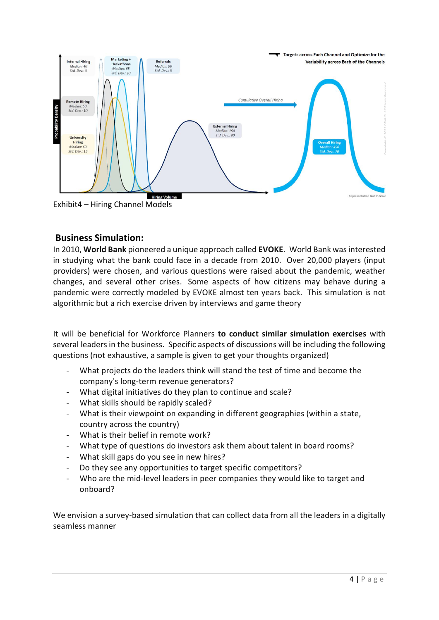

Exhibit4 – Hiring Channel Models

## **Business Simulation:**

In 2010, **World Bank** pioneered a unique approach called **EVOKE**. World Bank was interested in studying what the bank could face in a decade from 2010. Over 20,000 players (input providers) were chosen, and various questions were raised about the pandemic, weather changes, and several other crises. Some aspects of how citizens may behave during a pandemic were correctly modeled by EVOKE almost ten years back. This simulation is not algorithmic but a rich exercise driven by interviews and game theory

It will be beneficial for Workforce Planners **to conduct similar simulation exercises** with several leaders in the business. Specific aspects of discussions will be including the following questions (not exhaustive, a sample is given to get your thoughts organized)

- What projects do the leaders think will stand the test of time and become the company's long-term revenue generators?
- What digital initiatives do they plan to continue and scale?
- What skills should be rapidly scaled?
- What is their viewpoint on expanding in different geographies (within a state, country across the country)
- What is their belief in remote work?
- What type of questions do investors ask them about talent in board rooms?
- What skill gaps do you see in new hires?
- Do they see any opportunities to target specific competitors?
- Who are the mid-level leaders in peer companies they would like to target and onboard?

We envision a survey-based simulation that can collect data from all the leaders in a digitally seamless manner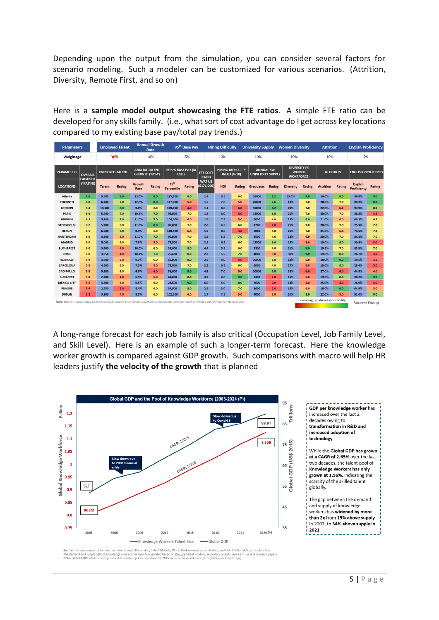Depending upon the output from the simulation, you can consider several factors for scenario modeling. Such a modeler can be customized for various scenarios. (Attrition, Diversity, Remote First, and so on)

Here is a **sample model output showcasing the FTE ratios**. A simple FTE ratio can be developed for any skills family. (i.e., what sort of cost advantage do I get across key locations compared to my existing base pay/total pay trends.)

| <b>Parameters</b>                                                                                                                                        |                                    | <b>Employed Talent</b> |               | <b>Annual Growth</b><br>Rate                 |        | 95 <sup>th</sup> Base Pay      |               | <b>Hiring Difficulty</b>        |                                                 |               | <b>University Supply</b>                     |        | <b>Women Diversity</b>                                  |        | <b>Attrition</b> |        | <b>English Proficiency</b> |               |
|----------------------------------------------------------------------------------------------------------------------------------------------------------|------------------------------------|------------------------|---------------|----------------------------------------------|--------|--------------------------------|---------------|---------------------------------|-------------------------------------------------|---------------|----------------------------------------------|--------|---------------------------------------------------------|--------|------------------|--------|----------------------------|---------------|
| Weightage                                                                                                                                                |                                    | 30%                    |               | 10%                                          |        | 15%                            |               | 10%                             |                                                 |               | 10%                                          |        | 10%                                                     |        | 10%              |        | 5%                         |               |
| <b>PARAMETERS</b>                                                                                                                                        | <b>OVERALL</b><br><b>CAPABILIT</b> | <b>EMPLOYED TALENT</b> |               | <b>ANNUAL TALENT</b><br><b>GROWTH (%YoY)</b> |        | 95th % BASE PAY (in<br>USD)    |               | <b>FTE COST</b><br><b>RATIO</b> | <b>HIRING DIFFICULTY</b><br><b>INDEX (0-10)</b> |               | <b>ANNUAL SW</b><br><b>UNIVERSITY SUPPLY</b> |        | <b>DIVERSITY (%</b><br><b>WOMEN</b><br><b>WOKRFORCE</b> |        | <b>ATTRITION</b> |        | <b>ENGLISH PROFICIENCY</b> |               |
| <b>LOCATIONS</b>                                                                                                                                         | Y RATING                           | <b>Talent</b>          | <b>Rating</b> | Growth<br>Rate                               | Rating | 95 <sup>th</sup><br>Percentile | <b>Rating</b> | <b>WRT US</b><br>( \$171,000)   | HDI                                             | <b>Rating</b> | <b>Graduates</b>                             | Rating | <b>Diversity</b>                                        | Rating | <b>Attrition</b> | Rating | English<br>Proficiency     | <b>Rating</b> |
| Atlanta                                                                                                                                                  | 7.0                                | 9,500                  | 8.0           | 13.0%                                        | 8.0    | 125,800                        | 8.0           | 1.4                             | 6.5                                             | 6.0           | 18000                                        | 8.2    | 19.5%                                                   | 9.0    | 16.0%            | 8.0    | 98.8%                      | 9.0           |
| <b>TORONTO</b>                                                                                                                                           | 6.8                                | 6,200                  | 7.0           | 12.0%                                        | 8.0    | 117,000                        | 5.0           | 1.5                             | 7.0                                             | 5.0           | 28000                                        | 7.6    | 19%                                                     | 7.0    | 20.0%            | 7.0    | 99.2%                      | 9.0           |
| <b>LONDON</b>                                                                                                                                            | 6.4                                | 15.500                 | 8.0           | 9.0%                                         | 6.0    | 149,000                        | 4.0           | 1.1                             | 8.0                                             | 4.0           | 35000                                        | 8.2    | 20%                                                     | 7.0    | 22.0%            | 5.0    | 97.9%                      | 8.0           |
| <b>PARIS</b>                                                                                                                                             | 6.4                                | 5,400                  | 7.0           | 10.4%                                        | 7.0    | 95,000                         | 7.0           | 1.8                             | 8.0                                             | 4.0           | 14000                                        | 6.0    | 21%                                                     | 7.0    | 20.0%            | 7.0    | 38.8%                      | 3.2           |
| <b>MUNICH</b>                                                                                                                                            | 6.3                                | 5.400                  | 7.0           | 11.0%                                        | 7.0    | 106.000                        | 6.0           | 1.6                             | 7.5                                             | 5.0           | 6000                                         | 4.0    | 23%                                                     | 8.0    | 21.0%            | 6.0    | 66.3%                      | 6.5           |
| <b>STOCKHOLM</b>                                                                                                                                         | 6.2                                | 5,200                  | 6.0           | 11.6%                                        | 8.0    | 85,000                         | 7.0           | 2.0                             | 6.5                                             | 6.0           | 1700                                         | 2.0    | 21%                                                     | 7.0    | 20.0%            | 7.0    | 75.3%                      | 7.0           |
| <b>BERLIN</b>                                                                                                                                            | 6.1                                | 6.500                  | 7.0           | 8.4%                                         | 6.0    | 110,500                        | 6.0           | 1.5                             | 8.0                                             | 4.0           | 6000                                         | 4.0    | 21%                                                     | 7.0    | 21.0%            | 6.0    | 74.5%                      | 7.0           |
| <b>AMSTERDAM</b>                                                                                                                                         | 6.0                                | 3.800                  | 5.0           | 11.0%                                        | 7.0    | 90,000                         | 7.0           | 1.9                             | 5.5                                             | 7.0           | 5500                                         | 4.0    | 18%                                                     | 6.0    | 20.0%            | 7.0    | 84.4%                      | 7.0           |
| <b>MADRID</b>                                                                                                                                            | 6.0                                | 5.000                  | 6.0           | 7.9%                                         | 5.0    | 78.500                         | 7.0           | 2.2                             | 6.5                                             | 6.0           | 13500                                        | 6.0    | 15%                                                     | 5.0    | 19.0%            | 8.0    | 30.8%                      | 3.0           |
| <b>BUCHAREST</b>                                                                                                                                         | 6.0                                | 3,400                  | 4.0           | 10.0%                                        | 6.0    | 39,000                         | 8.0           | 4.4                             | 5.5                                             | 6.0           | 5300                                         | 4.0    | 31%                                                     | 9.0    | 19.8%            | 7.0    | 85.5%                      | 7.0           |
| <b>ROME</b>                                                                                                                                              | 6.0                                | 3,050                  | 4.0           | 10.2%                                        | 7.0    | 75,600                         | 8.0           | 2.3                             | 5.5                                             | 7.0           | 4000                                         | 3.0    | 30%                                                     | 9.0    | 19.0%            | 8.0    | 26.7%                      | 3.0           |
| <b>WARSAW</b>                                                                                                                                            | 5.9                                | 3,600                  | 5.0           | 9.0%                                         | 6.0    | 66,000                         | 8.0           | 2.6                             | 8.0                                             | 4.0           | 10000                                        | 5.0    | 18%                                                     | 6.0    | 18.0%            | 9.0    | 39.5%                      | 3.5           |
| <b>BARCELONA</b>                                                                                                                                         | 5.8                                | 4.500                  | 6.0           | 7.3%                                         | 5.0    | 78.000                         | 7.0           | 2.2                             | 6.5                                             | 6.0           | 6000                                         | 4.0    | 17%                                                     | 5.0    | 19.0%            | 8.0    | 29.4%                      | 3.0           |
| <b>SAO PAULO</b>                                                                                                                                         | 5.8                                | 5.200                  | 6.0           | 6.3%                                         | 4.0    | 35,000                         | 9.0           | 4.9                             | 7.0                                             | 5.0           | 20000                                        | 7.0    | 13%                                                     | 4.0    | 27.0%            | 4.0    | 44.8%                      | 4.0           |
| <b>BUDAPEST</b>                                                                                                                                          | 5.8                                | 2.700                  | 4.0           | 6.5%                                         | 5.0    | 44,000                         | 8.0           | 3.9                             | 4.0                                             | 9.0           | 1300                                         | 2.0    | 16%                                                     | 5.0    | 19.0%            | 8.0    | 98.2%                      | 9.0           |
| <b>MEXICO CITY</b>                                                                                                                                       | 5.5                                | 3,500                  | 5.0           | 9.5%                                         | 6.0    | 28,500                         | 9.0           | 6.0                             | 5.0                                             | 8.0           | 2600                                         | 2.0    | 14%                                                     | 5.0    | 25.0%            | 4.0    | 26.9%                      | 3.0           |
| <b>PRAGUE</b>                                                                                                                                            | 5.4                                | 2,650                  | 3.0           | 8.4%                                         | 6.0    | 59,800                         | 8.0           | 2.9                             | 5.0                                             | 7.0           | 1600                                         | 2.0    | 18%                                                     | 6.0    | 18.0%            | 9.0    | 64.9%                      | 5.0           |
| <b>DUBLIN</b>                                                                                                                                            | 5.2                                | 3,200                  | 4.0           | 8.5%                                         | 6.0    | 102,500                        | 6.0           | 1.7                             | 7.5                                             | 5.0           | 4000                                         | 3.0    | 24%                                                     | 8.0    | 22.0%            | 5.0    | 91.4%                      | 8.0           |
| Note: DRAUP's proprietary talent module & Draup's Cost Simulation Module was used to analyse talent attributes and 95 <sup>th</sup> percentile base pay. |                                    |                        |               |                                              |        |                                |               |                                 |                                                 |               |                                              |        | Increasing Location Favourability<br>Source: Draup      |        |                  |        |                            |               |

A long-range forecast for each job family is also critical (Occupation Level, Job Family Level, and Skill Level). Here is an example of such a longer-term forecast. Here the knowledge worker growth is compared against GDP growth. Such comparisons with macro will help HR leaders justify **the velocity of the growth** that is planned



Source: The represented data is derived from <u>Draup's</u> Proprietary Talent Module, World Bank national accounts data (Mortonal Accounts data files.<br>The demand and supply data of knowledge workers has been triangulated tose